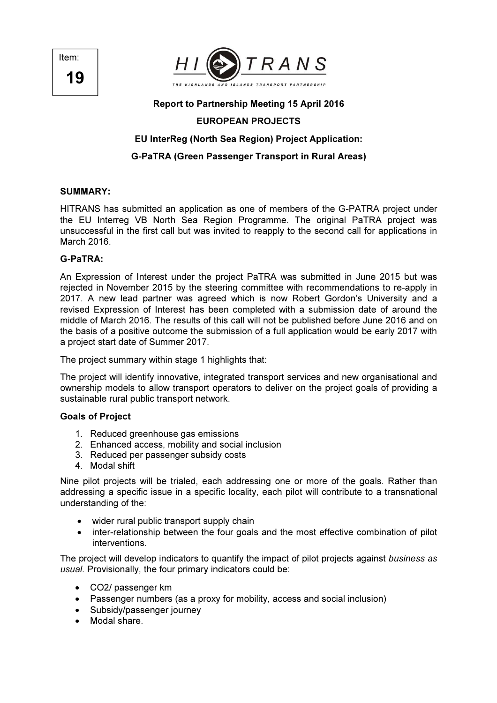Item: 19



#### Report to Partnership Meeting 15 April 2016

# EUROPEAN PROJECTS

### EU InterReg (North Sea Region) Project Application:

## G-PaTRA (Green Passenger Transport in Rural Areas)

#### SUMMARY:

HITRANS has submitted an application as one of members of the G-PATRA project under the EU Interreg VB North Sea Region Programme. The original PaTRA project was unsuccessful in the first call but was invited to reapply to the second call for applications in March 2016.

### G-PaTRA:

An Expression of Interest under the project PaTRA was submitted in June 2015 but was rejected in November 2015 by the steering committee with recommendations to re-apply in 2017. A new lead partner was agreed which is now Robert Gordon's University and a revised Expression of Interest has been completed with a submission date of around the middle of March 2016. The results of this call will not be published before June 2016 and on the basis of a positive outcome the submission of a full application would be early 2017 with a project start date of Summer 2017.

The project summary within stage 1 highlights that:

The project will identify innovative, integrated transport services and new organisational and ownership models to allow transport operators to deliver on the project goals of providing a sustainable rural public transport network.

### Goals of Project

- 1. Reduced greenhouse gas emissions
- 2. Enhanced access, mobility and social inclusion
- 3. Reduced per passenger subsidy costs
- 4. Modal shift

Nine pilot projects will be trialed, each addressing one or more of the goals. Rather than addressing a specific issue in a specific locality, each pilot will contribute to a transnational understanding of the:

- wider rural public transport supply chain
- inter-relationship between the four goals and the most effective combination of pilot interventions.

The project will develop indicators to quantify the impact of pilot projects against business as usual. Provisionally, the four primary indicators could be:

- CO2/ passenger km
- Passenger numbers (as a proxy for mobility, access and social inclusion)
- Subsidy/passenger journey
- Modal share.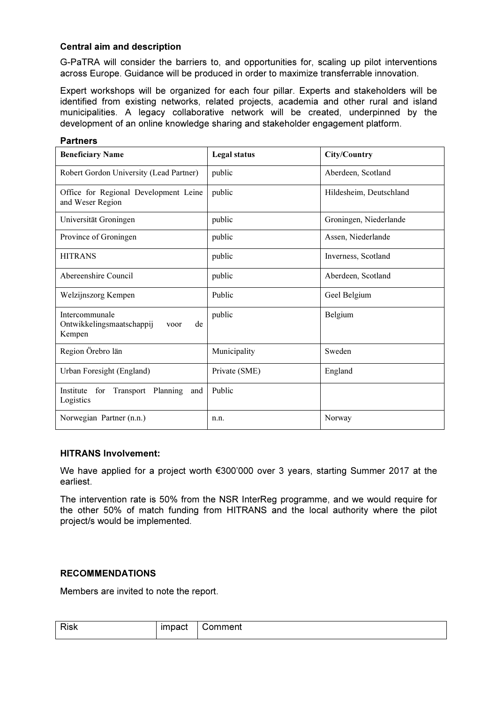## Central aim and description

G-PaTRA will consider the barriers to, and opportunities for, scaling up pilot interventions across Europe. Guidance will be produced in order to maximize transferrable innovation.

Expert workshops will be organized for each four pillar. Experts and stakeholders will be identified from existing networks, related projects, academia and other rural and island municipalities. A legacy collaborative network will be created, underpinned by the development of an online knowledge sharing and stakeholder engagement platform.

| <b>Partners</b>                                                     |               |                         |  |  |
|---------------------------------------------------------------------|---------------|-------------------------|--|--|
| <b>Beneficiary Name</b>                                             | Legal status  | City/Country            |  |  |
| Robert Gordon University (Lead Partner)                             | public        | Aberdeen, Scotland      |  |  |
| Office for Regional Development Leine<br>and Weser Region           | public        | Hildesheim, Deutschland |  |  |
| Universität Groningen                                               | public        | Groningen, Niederlande  |  |  |
| Province of Groningen                                               | public        | Assen, Niederlande      |  |  |
| <b>HITRANS</b>                                                      | public        | Inverness, Scotland     |  |  |
| Abereenshire Council                                                | public        | Aberdeen, Scotland      |  |  |
| Welzijnszorg Kempen                                                 | Public        | Geel Belgium            |  |  |
| Intercommunale<br>Ontwikkelingsmaatschappij<br>de<br>voor<br>Kempen | public        | Belgium                 |  |  |
| Region Örebro län                                                   | Municipality  | Sweden                  |  |  |
| Urban Foresight (England)                                           | Private (SME) | England                 |  |  |
| for Transport Planning and<br>Institute<br>Logistics                | Public        |                         |  |  |
| Norwegian Partner (n.n.)                                            | n.n.          | Norway                  |  |  |

# HITRANS Involvement:

We have applied for a project worth €300'000 over 3 years, starting Summer 2017 at the earliest.

The intervention rate is 50% from the NSR InterReg programme, and we would require for the other 50% of match funding from HITRANS and the local authority where the pilot project/s would be implemented.

### RECOMMENDATIONS

Members are invited to note the report.

| <b>Risk</b> | immat<br>bacı | ∵omment |
|-------------|---------------|---------|